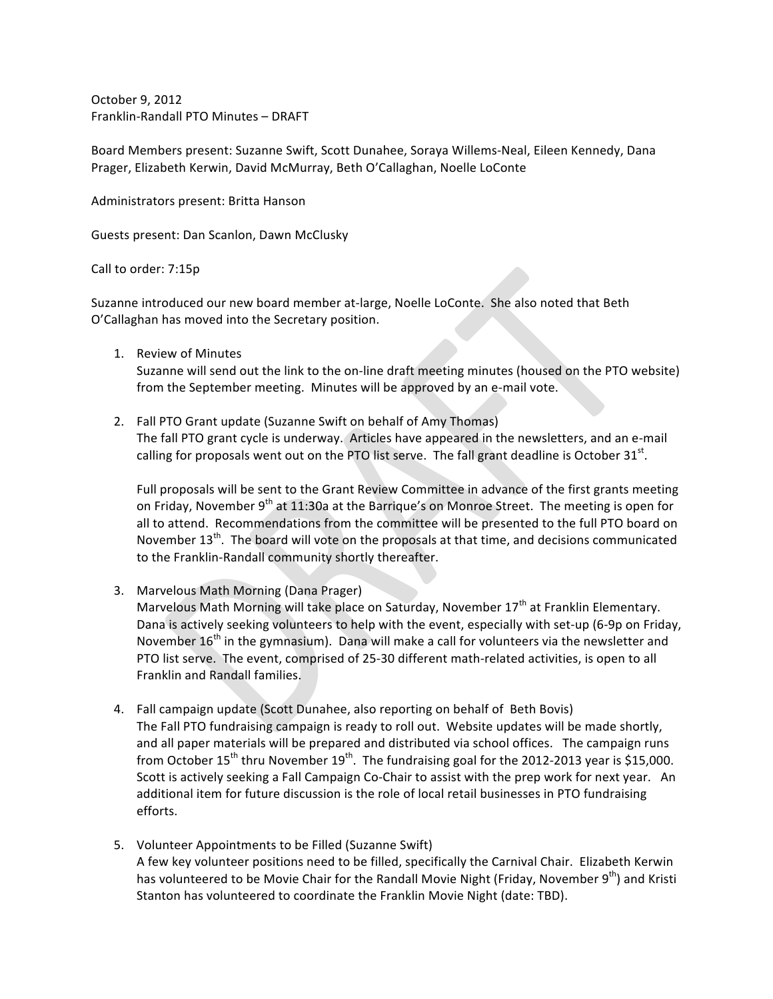October 9, 2012 Franklin-Randall PTO Minutes - DRAFT

Board Members present: Suzanne Swift, Scott Dunahee, Soraya Willems-Neal, Eileen Kennedy, Dana Prager, Elizabeth Kerwin, David McMurray, Beth O'Callaghan, Noelle LoConte

Administrators present: Britta Hanson

Guests present: Dan Scanlon, Dawn McClusky

Call to order: 7:15p

Suzanne introduced our new board member at-large, Noelle LoConte. She also noted that Beth O'Callaghan has moved into the Secretary position.

1. Review of Minutes

Suzanne will send out the link to the on-line draft meeting minutes (housed on the PTO website) from the September meeting. Minutes will be approved by an e-mail vote.

2. Fall PTO Grant update (Suzanne Swift on behalf of Amy Thomas) The fall PTO grant cycle is underway. Articles have appeared in the newsletters, and an e-mail calling for proposals went out on the PTO list serve. The fall grant deadline is October  $31^{st}$ .

Full proposals will be sent to the Grant Review Committee in advance of the first grants meeting on Friday, November  $9<sup>th</sup>$  at 11:30a at the Barrique's on Monroe Street. The meeting is open for all to attend. Recommendations from the committee will be presented to the full PTO board on November 13<sup>th</sup>. The board will vote on the proposals at that time, and decisions communicated to the Franklin-Randall community shortly thereafter.

- 3. Marvelous Math Morning (Dana Prager) Marvelous Math Morning will take place on Saturday, November 17<sup>th</sup> at Franklin Elementary. Dana is actively seeking volunteers to help with the event, especially with set-up (6-9p on Friday, November  $16<sup>th</sup>$  in the gymnasium). Dana will make a call for volunteers via the newsletter and PTO list serve. The event, comprised of 25-30 different math-related activities, is open to all Franklin and Randall families.
- 4. Fall campaign update (Scott Dunahee, also reporting on behalf of Beth Bovis) The Fall PTO fundraising campaign is ready to roll out. Website updates will be made shortly, and all paper materials will be prepared and distributed via school offices. The campaign runs from October 15<sup>th</sup> thru November 19<sup>th</sup>. The fundraising goal for the 2012-2013 year is \$15,000. Scott is actively seeking a Fall Campaign Co-Chair to assist with the prep work for next year. An additional item for future discussion is the role of local retail businesses in PTO fundraising efforts.
- 5. Volunteer Appointments to be Filled (Suzanne Swift) A few key volunteer positions need to be filled, specifically the Carnival Chair. Elizabeth Kerwin has volunteered to be Movie Chair for the Randall Movie Night (Friday, November 9<sup>th</sup>) and Kristi Stanton has volunteered to coordinate the Franklin Movie Night (date: TBD).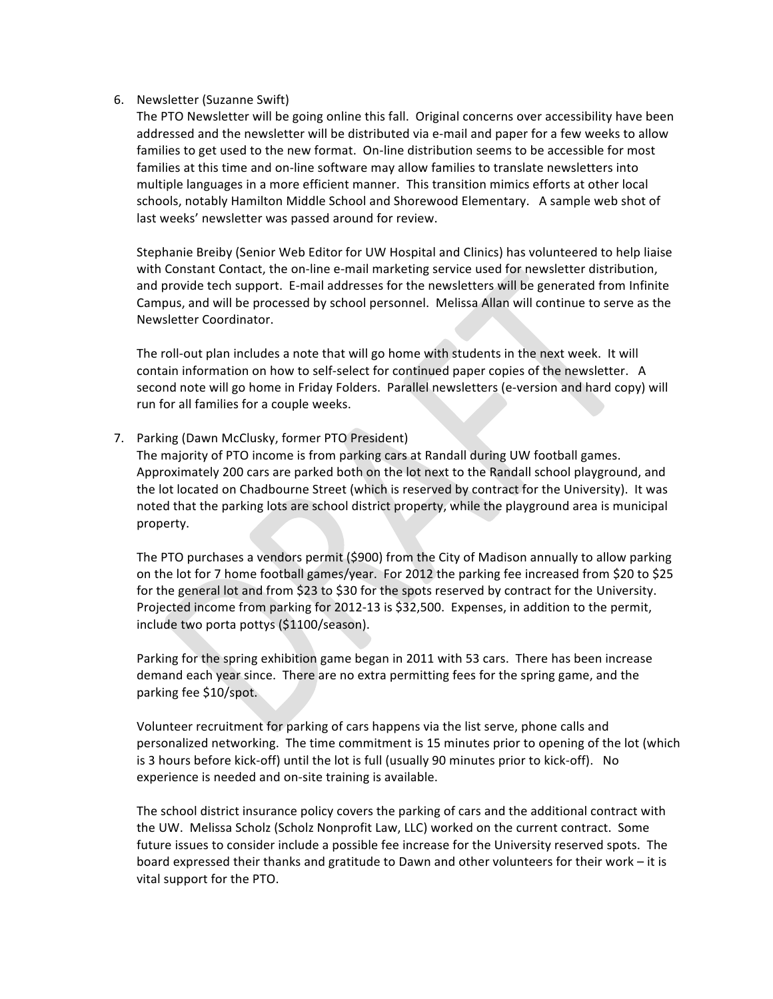## 6. Newsletter (Suzanne Swift)

The PTO Newsletter will be going online this fall. Original concerns over accessibility have been addressed and the newsletter will be distributed via e-mail and paper for a few weeks to allow families to get used to the new format. On-line distribution seems to be accessible for most families at this time and on-line software may allow families to translate newsletters into multiple languages in a more efficient manner. This transition mimics efforts at other local schools, notably Hamilton Middle School and Shorewood Elementary. A sample web shot of last weeks' newsletter was passed around for review.

Stephanie Breiby (Senior Web Editor for UW Hospital and Clinics) has volunteered to help liaise with Constant Contact, the on-line e-mail marketing service used for newsletter distribution, and provide tech support. E-mail addresses for the newsletters will be generated from Infinite Campus, and will be processed by school personnel. Melissa Allan will continue to serve as the Newsletter Coordinator.

The roll-out plan includes a note that will go home with students in the next week. It will contain information on how to self-select for continued paper copies of the newsletter. A second note will go home in Friday Folders. Parallel newsletters (e-version and hard copy) will run for all families for a couple weeks.

## 7. Parking (Dawn McClusky, former PTO President)

The majority of PTO income is from parking cars at Randall during UW football games. Approximately 200 cars are parked both on the lot next to the Randall school playground, and the lot located on Chadbourne Street (which is reserved by contract for the University). It was noted that the parking lots are school district property, while the playground area is municipal property.

The PTO purchases a vendors permit (\$900) from the City of Madison annually to allow parking on the lot for 7 home football games/year. For 2012 the parking fee increased from \$20 to \$25 for the general lot and from \$23 to \$30 for the spots reserved by contract for the University. Projected income from parking for 2012-13 is \$32,500. Expenses, in addition to the permit, include two porta pottys (\$1100/season).

Parking for the spring exhibition game began in 2011 with 53 cars. There has been increase demand each year since. There are no extra permitting fees for the spring game, and the parking fee \$10/spot.

Volunteer recruitment for parking of cars happens via the list serve, phone calls and personalized networking. The time commitment is 15 minutes prior to opening of the lot (which is 3 hours before kick-off) until the lot is full (usually 90 minutes prior to kick-off). No experience is needed and on-site training is available.

The school district insurance policy covers the parking of cars and the additional contract with the UW. Melissa Scholz (Scholz Nonprofit Law, LLC) worked on the current contract. Some future issues to consider include a possible fee increase for the University reserved spots. The board expressed their thanks and gratitude to Dawn and other volunteers for their work – it is vital support for the PTO.